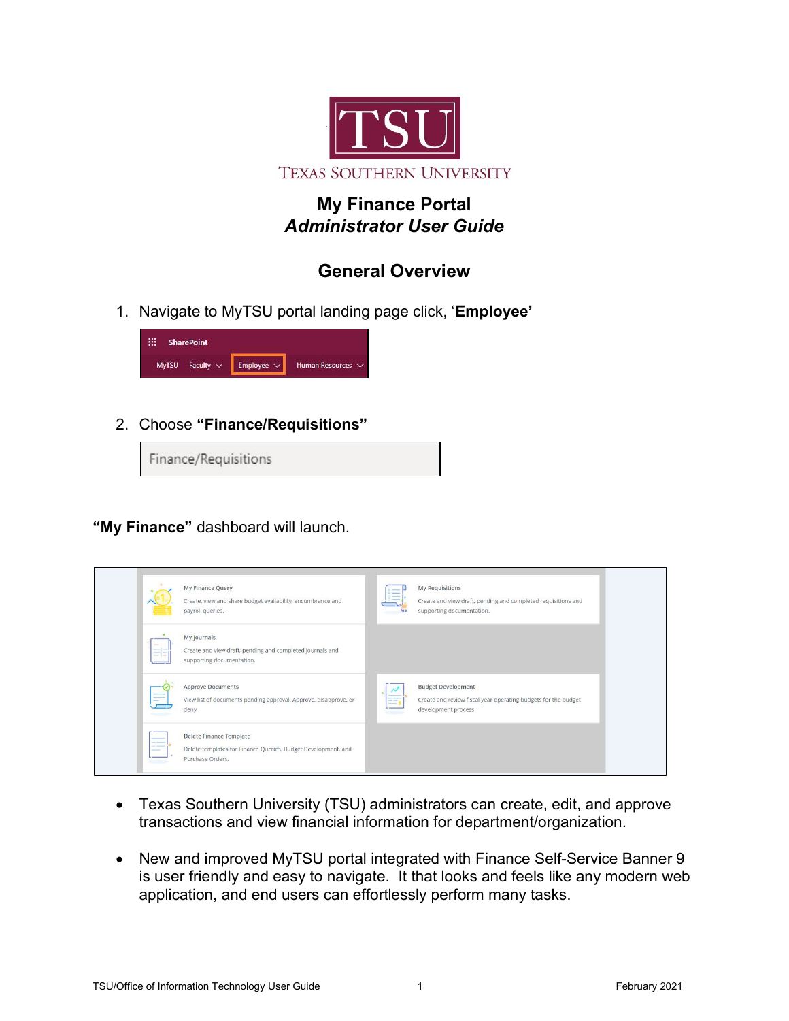

# My Finance Portal Administrator User Guide

# General Overview

1. Navigate to MyTSU portal landing page click, 'Employee'



2. Choose "Finance/Requisitions"

Finance/Requisitions

"My Finance" dashboard will launch.



- Texas Southern University (TSU) administrators can create, edit, and approve transactions and view financial information for department/organization.
- New and improved MyTSU portal integrated with Finance Self-Service Banner 9 is user friendly and easy to navigate. It that looks and feels like any modern web application, and end users can effortlessly perform many tasks.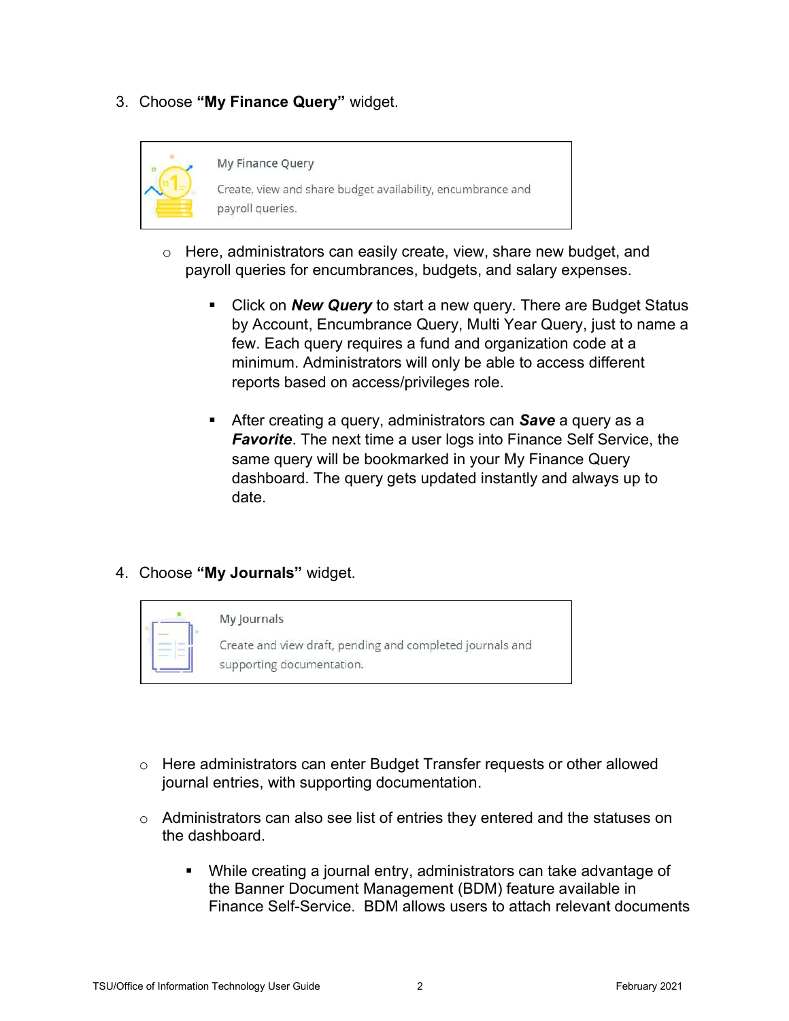3. Choose "My Finance Query" widget.



- $\circ$  Here, administrators can easily create, view, share new budget, and payroll queries for encumbrances, budgets, and salary expenses.
	- Click on **New Query** to start a new query. There are Budget Status by Account, Encumbrance Query, Multi Year Query, just to name a few. Each query requires a fund and organization code at a minimum. Administrators will only be able to access different reports based on access/privileges role.
	- After creating a query, administrators can **Save** a query as a **Favorite**. The next time a user logs into Finance Self Service, the same query will be bookmarked in your My Finance Query dashboard. The query gets updated instantly and always up to date.

### 4. Choose "My Journals" widget.



#### My Journals

Create and view draft, pending and completed journals and supporting documentation.

- $\circ$  Here administrators can enter Budget Transfer requests or other allowed journal entries, with supporting documentation.
- $\circ$  Administrators can also see list of entries they entered and the statuses on the dashboard.
	- While creating a journal entry, administrators can take advantage of the Banner Document Management (BDM) feature available in Finance Self-Service. BDM allows users to attach relevant documents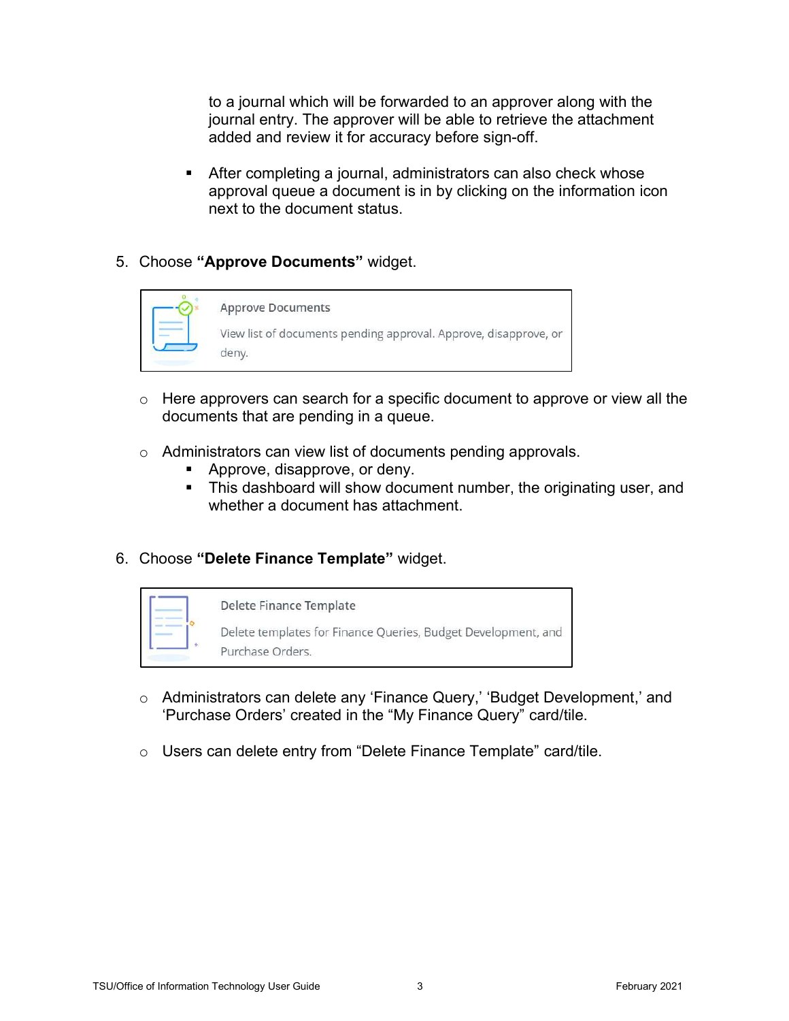to a journal which will be forwarded to an approver along with the journal entry. The approver will be able to retrieve the attachment added and review it for accuracy before sign-off.

- After completing a journal, administrators can also check whose approval queue a document is in by clicking on the information icon next to the document status.
- 5. Choose "Approve Documents" widget.



- $\circ$  Here approvers can search for a specific document to approve or view all the documents that are pending in a queue.
- o Administrators can view list of documents pending approvals.
	- Approve, disapprove, or deny.
	- **This dashboard will show document number, the originating user, and** whether a document has attachment.
- 6. Choose "Delete Finance Template" widget.



- o Administrators can delete any 'Finance Query,' 'Budget Development,' and 'Purchase Orders' created in the "My Finance Query" card/tile.
- o Users can delete entry from "Delete Finance Template" card/tile.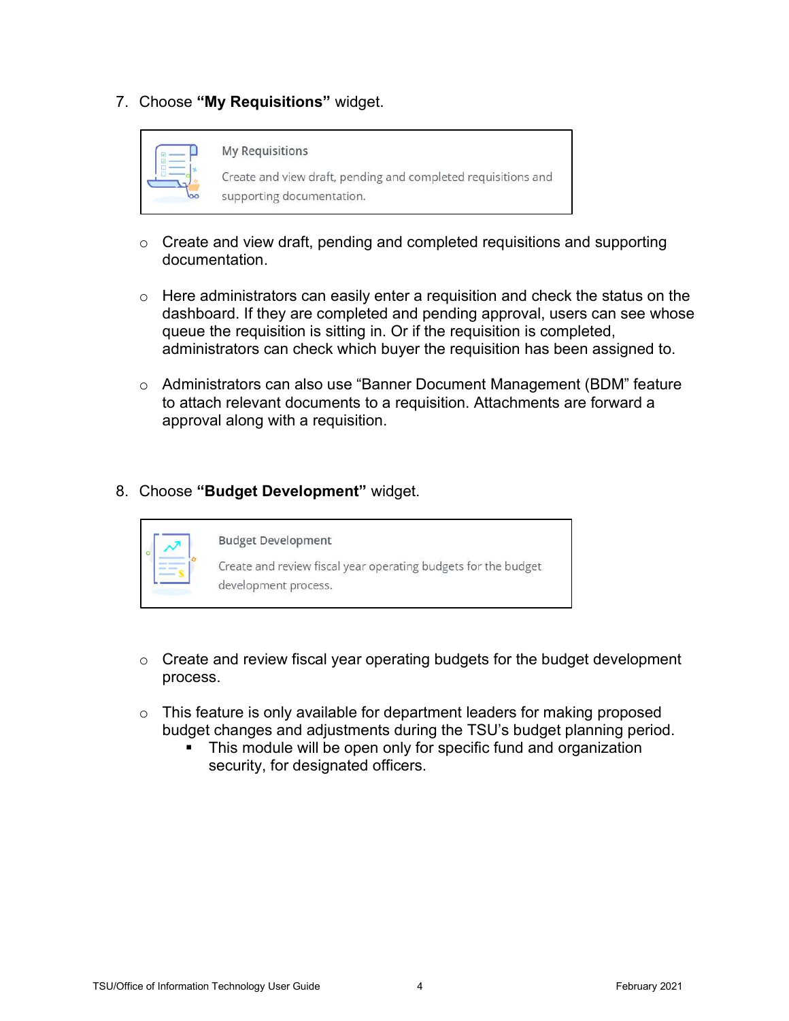7. Choose "My Requisitions" widget.



#### **My Requisitions**

Create and view draft, pending and completed requisitions and supporting documentation.

- $\circ$  Create and view draft, pending and completed requisitions and supporting documentation.
- $\circ$  Here administrators can easily enter a requisition and check the status on the dashboard. If they are completed and pending approval, users can see whose queue the requisition is sitting in. Or if the requisition is completed, administrators can check which buyer the requisition has been assigned to.
- $\circ$  Administrators can also use "Banner Document Management (BDM" feature to attach relevant documents to a requisition. Attachments are forward a approval along with a requisition.
- 8. Choose "Budget Development" widget.



- $\circ$  Create and review fiscal year operating budgets for the budget development process.
- $\circ$  This feature is only available for department leaders for making proposed budget changes and adjustments during the TSU's budget planning period.
	- This module will be open only for specific fund and organization security, for designated officers.